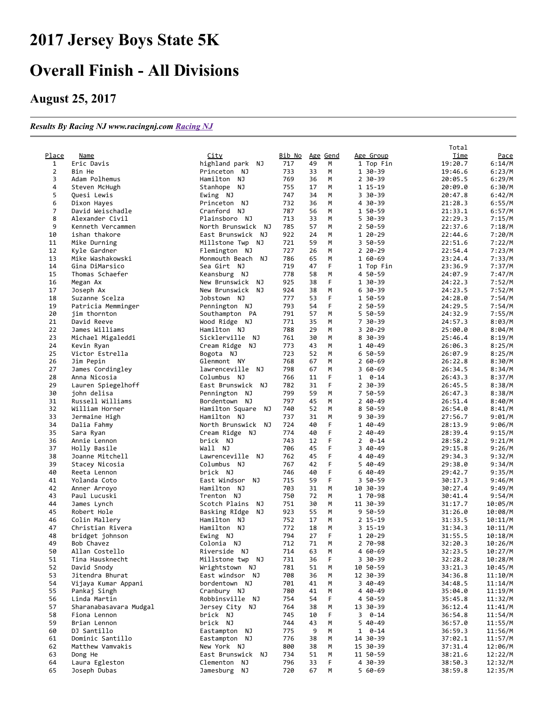## 2017 Jersey Boys State 5K

## Overall Finish - All Divisions

## August 25, 2017

## *Results By Racing NJ www.racingnj.com [Racing NJ](http://www.racingnj.com/)*

|                |                              |                                         |               |          |                 |                      | Total       |                  |
|----------------|------------------------------|-----------------------------------------|---------------|----------|-----------------|----------------------|-------------|------------------|
| Place          | Name                         | <u>City</u>                             | <u>Bib No</u> |          | <u>Age</u> Gend | Age Group            | <u>Time</u> | <u>Pace</u>      |
| $\mathbf{1}$   | Eric Davis                   | highland park<br>ΝJ                     | 717           | 49       | M               | 1 Top Fin            | 19:20.7     | 6:14/M           |
| $\overline{2}$ | Bin He                       | Princeton NJ                            | 733           | 33       | M               | 1 30-39              | 19:46.6     | 6:23/M           |
| 3              | Adam Polhemus                | Hamilton NJ                             | 769           | 36       | M               | 2 30-39              | 20:05.5     | 6:29/M           |
| 4              | Steven McHugh                | Stanhope NJ                             | 755           | 17       | М               | 1 15-19              | 20:09.0     | 6:30/M           |
| 5              | Quesi Lewis                  | Ewing NJ                                | 747           | 34       | M               | 3 30-39              | 20:47.8     | 6:42/M           |
| 6              | Dixon Hayes                  | Princeton NJ                            | 732           | 36       | М               | 4 30-39              | 21:28.3     | 6:55/M           |
| $\overline{7}$ | David Weischadle             | Cranford NJ                             | 787           | 56       | М               | 1 50-59              | 21:33.1     | 6:57/M           |
| 8              | Alexander Civil              | Plainsboro NJ                           | 713           | 33       | M               | 5 30-39              | 22:29.3     | 7:15/M           |
| 9              | Kenneth Vercammen            | North Brunswick NJ                      | 785           | 57       | М               | 2 50-59              | 22:37.6     | 7:18/M           |
| 10             | ishan thakore                | East Brunswick NJ                       | 922           | 24       | M               | 1 20-29              | 22:44.6     | 7:20/M           |
| 11             | Mike Durning                 | Millstone Twp<br>ΝJ                     | 721           | 59       | M               | 3 50-59              | 22:51.6     | 7:22/M           |
| 12             | Kyle Gardner                 | Flemington NJ                           | 727           | 26       | M               | $220 - 29$           | 22:54.4     | 7:23/M           |
| 13             | Mike Washakowski             | Monmouth Beach NJ                       | 786           | 65       | M               | 1 60-69              | 23:24.4     | 7:33/M           |
| 14             | Gina DiMarsico               | Sea Girt NJ                             | 719           | 47       | F               | 1 Top Fin            | 23:36.9     | 7:37/M           |
| 15             | Thomas Schaefer              | Keansburg NJ                            | 778           | 58       | M               | 4 50-59              | 24:07.9     | 7:47/M           |
| 16             | Megan Ax                     | New Brunswick<br>ΝJ                     | 925           | 38       | F               | 1 30-39              | 24:22.3     | 7:52/M           |
| 17             | Joseph Ax                    | New Brunswick NJ                        | 924           | 38       | М               | 6 30 - 39            | 24:23.5     | 7:52/M           |
| 18             | Suzanne Scelza               | Jobstown NJ                             | 777           | 53       | F               | 1 50-59              | 24:28.0     | 7:54/M           |
| 19             | Patricia Memminger           | Pennington NJ                           | 793           | 54       | F               | 2 50-59              | 24:29.5     | 7:54/M           |
| 20             | jim thornton                 | Southampton PA                          | 791           | 57       | M               | 5 50-59              | 24:32.9     | 7:55/M           |
| 21             | David Reeve                  | Wood Ridge NJ                           | 771           | 35       | м               | 7 30-39              | 24:57.3     | 8:03/M           |
| 22             | James Williams               | Hamilton NJ                             | 788           | 29       | M               | 3 20 - 29            | 25:00.0     | 8:04/M           |
| 23             | Michael Migaleddi            | Sicklerville NJ                         | 761           | 30       | M               | 8 30 - 39            | 25:46.4     | 8:19/M           |
| 24             | Kevin Ryan                   | Cream Ridge NJ                          | 773           | 43       | M               | 1 40-49              | 26:06.3     | 8:25/M           |
| 25             | Victor Estrella              | Bogota NJ                               | 723           | 52       | M               | $650 - 59$           | 26:07.9     | 8:25/M           |
| 26             | Jim Pepin                    | Glenmont NY                             | 768           | 67       | M               | $260 - 69$           | 26:22.8     | 8:30/M           |
| 27             | James Cordingley             | lawrenceville NJ                        | 798           | 67       | M               | $360 - 69$           | 26:34.5     | 8:34/M           |
| 28             | Anna Nicosia                 | Columbus NJ                             | 766           | 11       | F               | $1 \quad 0-14$       | 26:43.3     | 8:37/M           |
| 29             | Lauren Spiegelhoff           | East Brunswick NJ                       | 782           | 31       | F               | $2$ 30-39            | 26:45.5     | 8:38/M           |
| 30             | john delisa                  | Pennington NJ                           | 799           | 59       | M               | 7 50-59              | 26:47.3     | 8:38/M           |
| 31             | Russell Williams             | Bordentown NJ                           | 797           | 45       | M               | $240 - 49$           | 26:51.4     | 8:40/M           |
| 32             | William Horner               | Hamilton Square NJ                      | 740           | 52       | М               | 8 50-59              | 26:54.0     | 8:41/M           |
| 33             | Jermaine High                | Hamilton NJ                             | 737           | 31       | M               | 9 30-39              | 27:56.7     | 9:01/M           |
| 34             | Dalia Fahmy                  | North Brunswick NJ                      | 724           | 40       | F               | 1 40-49              | 28:13.9     | 9:06/M           |
| 35             | Sara Ryan                    | Cream Ridge NJ                          | 774           | 40       | F               | 2 40-49              | 28:39.4     | 9:15/M           |
| 36             | Annie Lennon                 | brick NJ                                | 743           | 12       | F               | 0-14<br>$\mathbf{2}$ | 28:58.2     | 9:21/M           |
| 37             | Holly Basile                 | Wall NJ                                 | 706           | 45       | F               | 3 40-49              | 29:15.8     | 9:26/M           |
| 38             | Joanne Mitchell              | Lawrenceville NJ                        | 762           | 45       | F               | 4 40-49              | 29:34.3     | 9:32/M           |
| 39             | Stacey Nicosia               | Columbus NJ                             | 767           | 42       | F               | 5 40-49              | 29:38.0     | 9:34/M           |
| 40             | Reeta Lennon                 | brick NJ                                | 746           | 40       | F               | $640-49$             | 29:42.7     | 9:35/M           |
| 41             |                              | East Windsor<br>ΝJ                      | 715           | 59       | F               | 3 50-59              | 30:17.3     |                  |
| 42             | Yolanda Coto                 | Hamilton NJ                             | 703           | 31       | М               | 10 30-39             | 30:27.4     | 9:46/M<br>9:49/M |
| 43             | Anner Arroyo<br>Paul Lucuski | Trenton NJ                              | 750           | 72       | M               | 1 70-98              | 30:41.4     | 9:54/M           |
|                |                              |                                         |               | 30       |                 |                      | 31:17.7     |                  |
| 44             | James Lynch                  | Scotch Plains<br>ΝJ<br>Basking RIdge NJ | 751           | 55       | М               | 11 30-39             |             | 10:05/M          |
| 45             | Robert Hole                  |                                         | 923           |          | М               | 9 50-59              | 31:26.0     | 10:08/M          |
| 46             | Colin Mallery                | Hamilton NJ                             | 752           | 17       | М               | $2$ 15-19            | 31:33.5     | 10:11/M          |
| 47             | Christian Rivera             | Hamilton NJ                             | 772<br>794    | 18<br>27 | M<br>F          | 3 15-19              | 31:34.3     | 10:11/M          |
| 48             | bridget johnson              | Ewing NJ                                |               |          |                 | 1 20-29              | 31:55.5     | 10:18/M          |
| 49             | Bob Chavez                   | Colonia NJ                              | 712           | 71       | М               | 2 70-98              | 32:20.3     | 10:26/M          |
| 50             | Allan Costello               | Riverside NJ                            | 714           | 63       | М               | 4 60-69              | 32:23.5     | 10:27/M          |
| 51             | Tina Hausknecht              | Millstone twp NJ                        | 731           | 36       | F               | 3 30-39              | 32:28.2     | 10:28/M          |
| 52             | David Snody                  | Wrightstown NJ                          | 781           | 51       | М               | 10 50-59             | 33:21.3     | 10:45/M          |
| 53             | Jitendra Bhurat              | East windsor NJ                         | 708           | 36       | М               | 12 30-39             | 34:36.8     | 11:10/M          |
| 54             | Vijaya Kumar Appani          | bordentown NJ                           | 701           | 41       | М               | 3 40 - 49            | 34:48.5     | 11:14/M          |
| 55             | Pankaj Singh                 | Cranbury NJ                             | 780           | 41       | М               | 4 40-49              | 35:04.0     | 11:19/M          |
| 56             | Linda Martin                 | Robbinsville NJ                         | 754           | 54       | F               | 4 50-59              | 35:45.8     | 11:32/M          |
| 57             | Sharanabasavara Mudgal       | Jersey City NJ                          | 764           | 38       | М               | 13 30-39             | 36:12.4     | 11:41/M          |
| 58             | Fiona Lennon                 | brick NJ                                | 745           | 10       | F               | $3 \quad 0-14$       | 36:54.8     | 11:54/M          |
| 59             | Brian Lennon                 | brick NJ                                | 744           | 43       | М               | 5 40-49              | 36:57.0     | 11:55/M          |
| 60             | DJ Santillo                  | Eastampton NJ                           | 775           | 9        | М               | $1 \quad 0-14$       | 36:59.3     | 11:56/M          |
| 61             | Dominic Santillo             | Eastampton NJ                           | 776           | 38       | М               | 14 30-39             | 37:02.1     | 11:57/M          |
| 62             | Matthew Vamvakis             | New York NJ                             | 800           | 38       | М               | 15 30-39             | 37:31.4     | 12:06/M          |
| 63             | Dong He                      | East Brunswick NJ                       | 734           | 51       | М               | 11 50-59             | 38:21.6     | 12:22/M          |
| 64             | Laura Egleston               | Clementon NJ                            | 796           | 33       | F               | 4 30-39              | 38:50.3     | 12:32/M          |
| 65             | Joseph Dubas                 | Jamesburg NJ                            | 720           | 67       | M               | 5 60-69              | 38:59.8     | 12:35/M          |